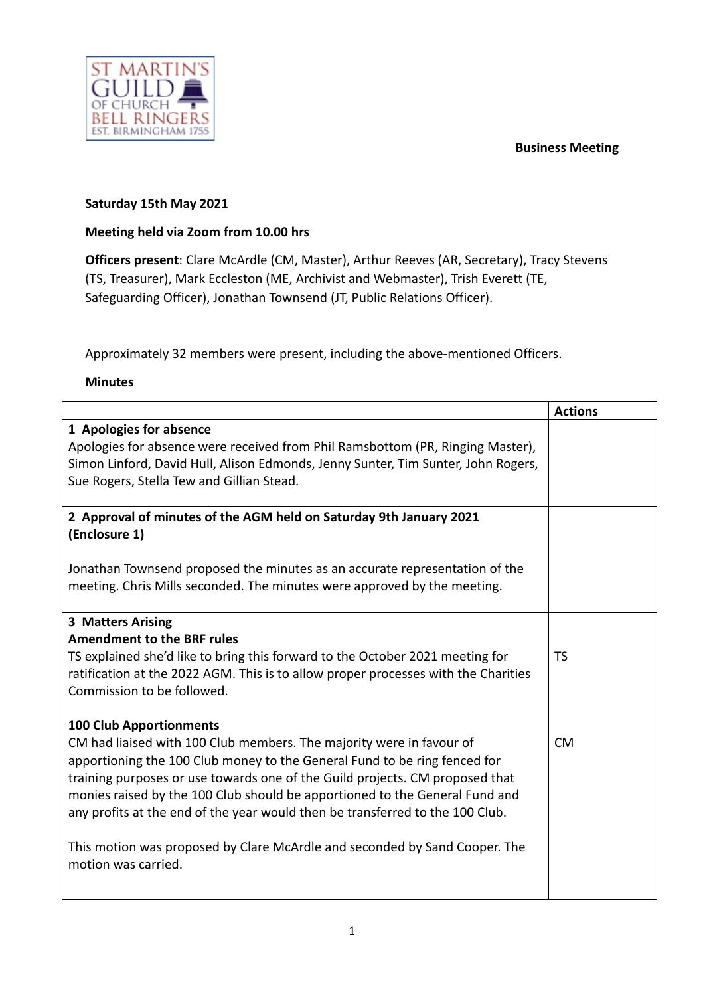#### **Business Meeting**



#### **Saturday 15th May 2021**

## **Meeting held via Zoom from 10.00 hrs**

**Officers present**: Clare McArdle (CM, Master), Arthur Reeves (AR, Secretary), Tracy Stevens (TS, Treasurer), Mark Eccleston (ME, Archivist and Webmaster), Trish Everett (TE, Safeguarding Officer), Jonathan Townsend (JT, Public Relations Officer).

Approximately 32 members were present, including the above-mentioned Officers.

#### **Minutes**

|                                                                                    | <b>Actions</b> |
|------------------------------------------------------------------------------------|----------------|
| 1 Apologies for absence                                                            |                |
| Apologies for absence were received from Phil Ramsbottom (PR, Ringing Master),     |                |
| Simon Linford, David Hull, Alison Edmonds, Jenny Sunter, Tim Sunter, John Rogers,  |                |
| Sue Rogers, Stella Tew and Gillian Stead.                                          |                |
|                                                                                    |                |
| 2 Approval of minutes of the AGM held on Saturday 9th January 2021                 |                |
| (Enclosure 1)                                                                      |                |
|                                                                                    |                |
| Jonathan Townsend proposed the minutes as an accurate representation of the        |                |
| meeting. Chris Mills seconded. The minutes were approved by the meeting.           |                |
|                                                                                    |                |
| 3 Matters Arising                                                                  |                |
| <b>Amendment to the BRF rules</b>                                                  |                |
| TS explained she'd like to bring this forward to the October 2021 meeting for      | <b>TS</b>      |
| ratification at the 2022 AGM. This is to allow proper processes with the Charities |                |
| Commission to be followed.                                                         |                |
|                                                                                    |                |
| <b>100 Club Apportionments</b>                                                     |                |
| CM had liaised with 100 Club members. The majority were in favour of               | <b>CM</b>      |
| apportioning the 100 Club money to the General Fund to be ring fenced for          |                |
| training purposes or use towards one of the Guild projects. CM proposed that       |                |
| monies raised by the 100 Club should be apportioned to the General Fund and        |                |
| any profits at the end of the year would then be transferred to the 100 Club.      |                |
| This motion was proposed by Clare McArdle and seconded by Sand Cooper. The         |                |
| motion was carried.                                                                |                |
|                                                                                    |                |
|                                                                                    |                |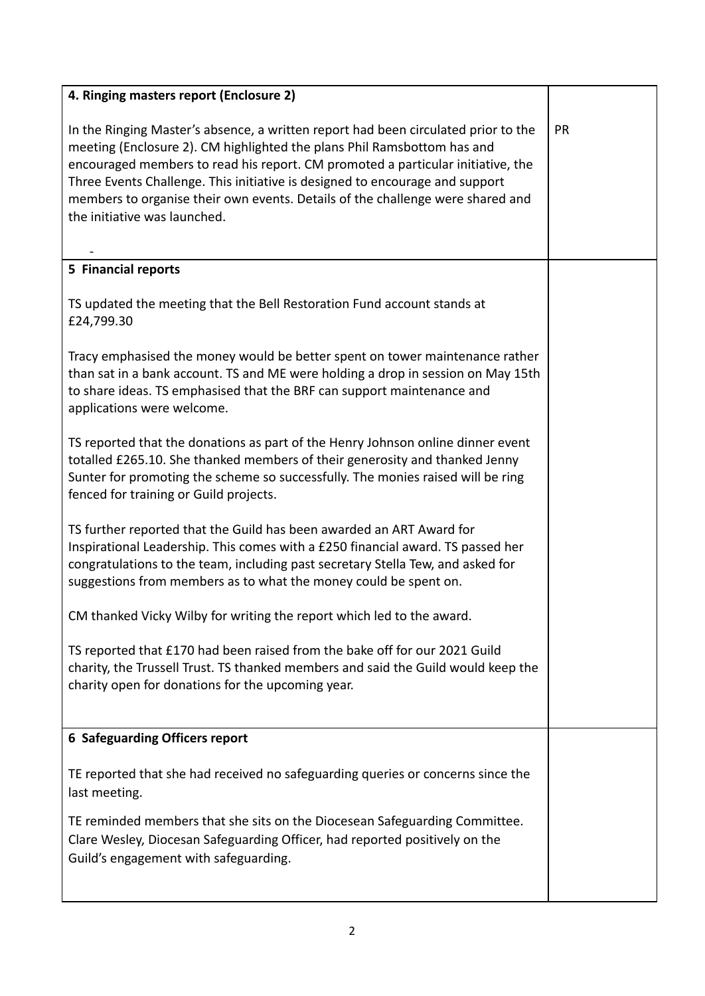| 4. Ringing masters report (Enclosure 2)                                                                                                                                                                                                                                                                                                                                                                                                            |    |
|----------------------------------------------------------------------------------------------------------------------------------------------------------------------------------------------------------------------------------------------------------------------------------------------------------------------------------------------------------------------------------------------------------------------------------------------------|----|
| In the Ringing Master's absence, a written report had been circulated prior to the<br>meeting (Enclosure 2). CM highlighted the plans Phil Ramsbottom has and<br>encouraged members to read his report. CM promoted a particular initiative, the<br>Three Events Challenge. This initiative is designed to encourage and support<br>members to organise their own events. Details of the challenge were shared and<br>the initiative was launched. | PR |
| 5 Financial reports                                                                                                                                                                                                                                                                                                                                                                                                                                |    |
| TS updated the meeting that the Bell Restoration Fund account stands at<br>£24,799.30                                                                                                                                                                                                                                                                                                                                                              |    |
| Tracy emphasised the money would be better spent on tower maintenance rather<br>than sat in a bank account. TS and ME were holding a drop in session on May 15th<br>to share ideas. TS emphasised that the BRF can support maintenance and<br>applications were welcome.                                                                                                                                                                           |    |
| TS reported that the donations as part of the Henry Johnson online dinner event<br>totalled £265.10. She thanked members of their generosity and thanked Jenny<br>Sunter for promoting the scheme so successfully. The monies raised will be ring<br>fenced for training or Guild projects.                                                                                                                                                        |    |
| TS further reported that the Guild has been awarded an ART Award for<br>Inspirational Leadership. This comes with a £250 financial award. TS passed her<br>congratulations to the team, including past secretary Stella Tew, and asked for<br>suggestions from members as to what the money could be spent on.                                                                                                                                     |    |
| CM thanked Vicky Wilby for writing the report which led to the award.                                                                                                                                                                                                                                                                                                                                                                              |    |
| TS reported that £170 had been raised from the bake off for our 2021 Guild<br>charity, the Trussell Trust. TS thanked members and said the Guild would keep the<br>charity open for donations for the upcoming year.                                                                                                                                                                                                                               |    |
| <b>6 Safeguarding Officers report</b>                                                                                                                                                                                                                                                                                                                                                                                                              |    |
| TE reported that she had received no safeguarding queries or concerns since the<br>last meeting.<br>TE reminded members that she sits on the Diocesean Safeguarding Committee.<br>Clare Wesley, Diocesan Safeguarding Officer, had reported positively on the                                                                                                                                                                                      |    |
| Guild's engagement with safeguarding.                                                                                                                                                                                                                                                                                                                                                                                                              |    |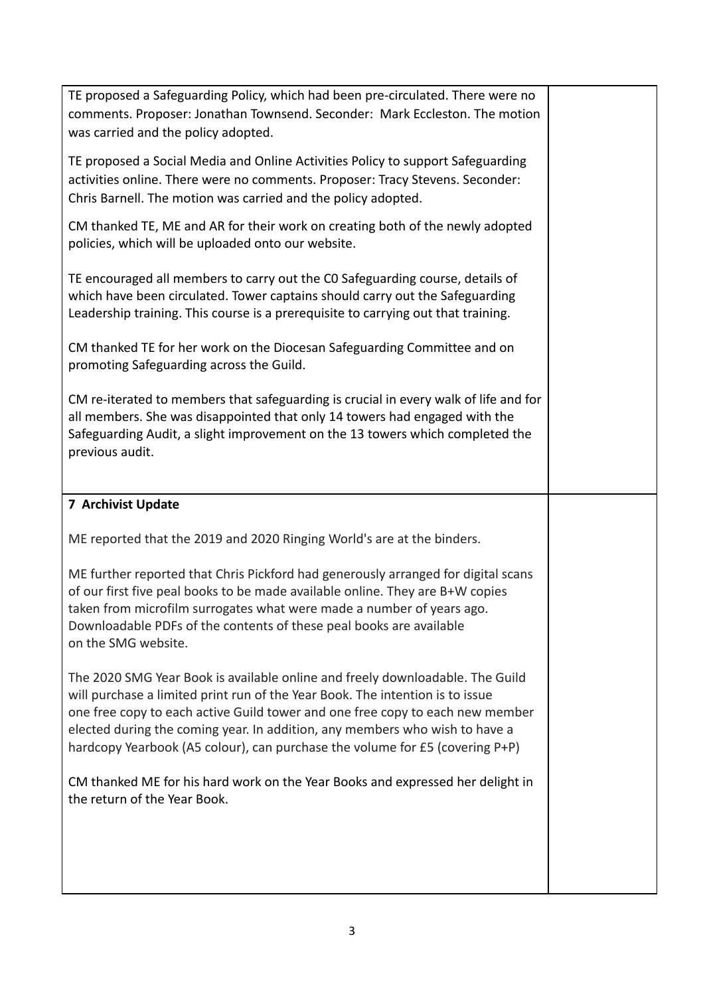| TE proposed a Safeguarding Policy, which had been pre-circulated. There were no<br>comments. Proposer: Jonathan Townsend. Seconder: Mark Eccleston. The motion<br>was carried and the policy adopted.                                                                                                                                                                                                          |  |
|----------------------------------------------------------------------------------------------------------------------------------------------------------------------------------------------------------------------------------------------------------------------------------------------------------------------------------------------------------------------------------------------------------------|--|
| TE proposed a Social Media and Online Activities Policy to support Safeguarding<br>activities online. There were no comments. Proposer: Tracy Stevens. Seconder:<br>Chris Barnell. The motion was carried and the policy adopted.                                                                                                                                                                              |  |
| CM thanked TE, ME and AR for their work on creating both of the newly adopted<br>policies, which will be uploaded onto our website.                                                                                                                                                                                                                                                                            |  |
| TE encouraged all members to carry out the CO Safeguarding course, details of<br>which have been circulated. Tower captains should carry out the Safeguarding<br>Leadership training. This course is a prerequisite to carrying out that training.                                                                                                                                                             |  |
| CM thanked TE for her work on the Diocesan Safeguarding Committee and on<br>promoting Safeguarding across the Guild.                                                                                                                                                                                                                                                                                           |  |
| CM re-iterated to members that safeguarding is crucial in every walk of life and for<br>all members. She was disappointed that only 14 towers had engaged with the<br>Safeguarding Audit, a slight improvement on the 13 towers which completed the<br>previous audit.                                                                                                                                         |  |
| <b>7 Archivist Update</b>                                                                                                                                                                                                                                                                                                                                                                                      |  |
|                                                                                                                                                                                                                                                                                                                                                                                                                |  |
| ME reported that the 2019 and 2020 Ringing World's are at the binders.                                                                                                                                                                                                                                                                                                                                         |  |
| ME further reported that Chris Pickford had generously arranged for digital scans<br>of our first five peal books to be made available online. They are B+W copies<br>taken from microfilm surrogates what were made a number of years ago.<br>Downloadable PDFs of the contents of these peal books are available<br>on the SMG website.                                                                      |  |
| The 2020 SMG Year Book is available online and freely downloadable. The Guild<br>will purchase a limited print run of the Year Book. The intention is to issue<br>one free copy to each active Guild tower and one free copy to each new member<br>elected during the coming year. In addition, any members who wish to have a<br>hardcopy Yearbook (A5 colour), can purchase the volume for £5 (covering P+P) |  |
| CM thanked ME for his hard work on the Year Books and expressed her delight in<br>the return of the Year Book.                                                                                                                                                                                                                                                                                                 |  |
|                                                                                                                                                                                                                                                                                                                                                                                                                |  |
|                                                                                                                                                                                                                                                                                                                                                                                                                |  |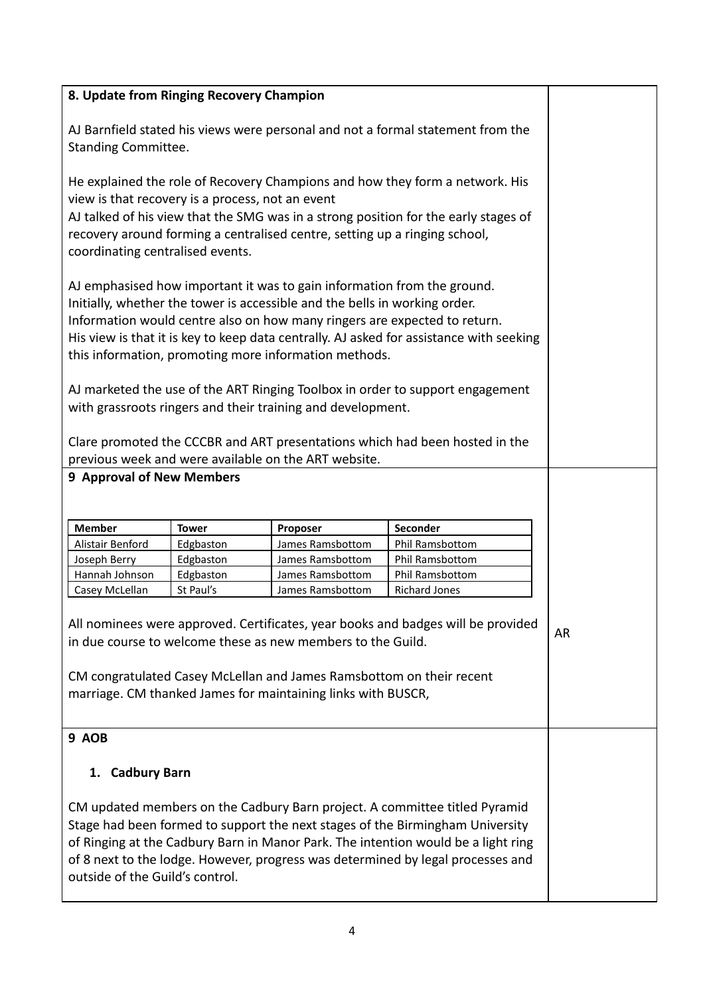| 8. Update from Ringing Recovery Champion                                                                                                                                                                                                                                                                                                                                               |                        |                                      |                                                                               |    |
|----------------------------------------------------------------------------------------------------------------------------------------------------------------------------------------------------------------------------------------------------------------------------------------------------------------------------------------------------------------------------------------|------------------------|--------------------------------------|-------------------------------------------------------------------------------|----|
| AJ Barnfield stated his views were personal and not a formal statement from the<br><b>Standing Committee.</b>                                                                                                                                                                                                                                                                          |                        |                                      |                                                                               |    |
| He explained the role of Recovery Champions and how they form a network. His<br>view is that recovery is a process, not an event<br>AJ talked of his view that the SMG was in a strong position for the early stages of<br>recovery around forming a centralised centre, setting up a ringing school,<br>coordinating centralised events.                                              |                        |                                      |                                                                               |    |
| AJ emphasised how important it was to gain information from the ground.<br>Initially, whether the tower is accessible and the bells in working order.<br>Information would centre also on how many ringers are expected to return.<br>His view is that it is key to keep data centrally. AJ asked for assistance with seeking<br>this information, promoting more information methods. |                        |                                      |                                                                               |    |
|                                                                                                                                                                                                                                                                                                                                                                                        |                        |                                      | AJ marketed the use of the ART Ringing Toolbox in order to support engagement |    |
| with grassroots ringers and their training and development.<br>Clare promoted the CCCBR and ART presentations which had been hosted in the<br>previous week and were available on the ART website.                                                                                                                                                                                     |                        |                                      |                                                                               |    |
| <b>9 Approval of New Members</b>                                                                                                                                                                                                                                                                                                                                                       |                        |                                      |                                                                               |    |
|                                                                                                                                                                                                                                                                                                                                                                                        |                        |                                      |                                                                               |    |
| <b>Member</b>                                                                                                                                                                                                                                                                                                                                                                          | <b>Tower</b>           | Proposer                             | Seconder                                                                      |    |
| Alistair Benford                                                                                                                                                                                                                                                                                                                                                                       | Edgbaston<br>Edgbaston | James Ramsbottom                     | Phil Ramsbottom<br><b>Phil Ramsbottom</b>                                     |    |
| Joseph Berry<br>Hannah Johnson                                                                                                                                                                                                                                                                                                                                                         | Edgbaston              | James Ramsbottom<br>James Ramsbottom | Phil Ramsbottom                                                               |    |
| Casey McLellan                                                                                                                                                                                                                                                                                                                                                                         | St Paul's              | James Ramsbottom                     | <b>Richard Jones</b>                                                          |    |
| All nominees were approved. Certificates, year books and badges will be provided<br>in due course to welcome these as new members to the Guild.<br>CM congratulated Casey McLellan and James Ramsbottom on their recent<br>marriage. CM thanked James for maintaining links with BUSCR,                                                                                                |                        |                                      |                                                                               | AR |
| 9 AOB                                                                                                                                                                                                                                                                                                                                                                                  |                        |                                      |                                                                               |    |
| 1. Cadbury Barn                                                                                                                                                                                                                                                                                                                                                                        |                        |                                      |                                                                               |    |
| CM updated members on the Cadbury Barn project. A committee titled Pyramid<br>Stage had been formed to support the next stages of the Birmingham University<br>of Ringing at the Cadbury Barn in Manor Park. The intention would be a light ring<br>of 8 next to the lodge. However, progress was determined by legal processes and<br>outside of the Guild's control.                 |                        |                                      |                                                                               |    |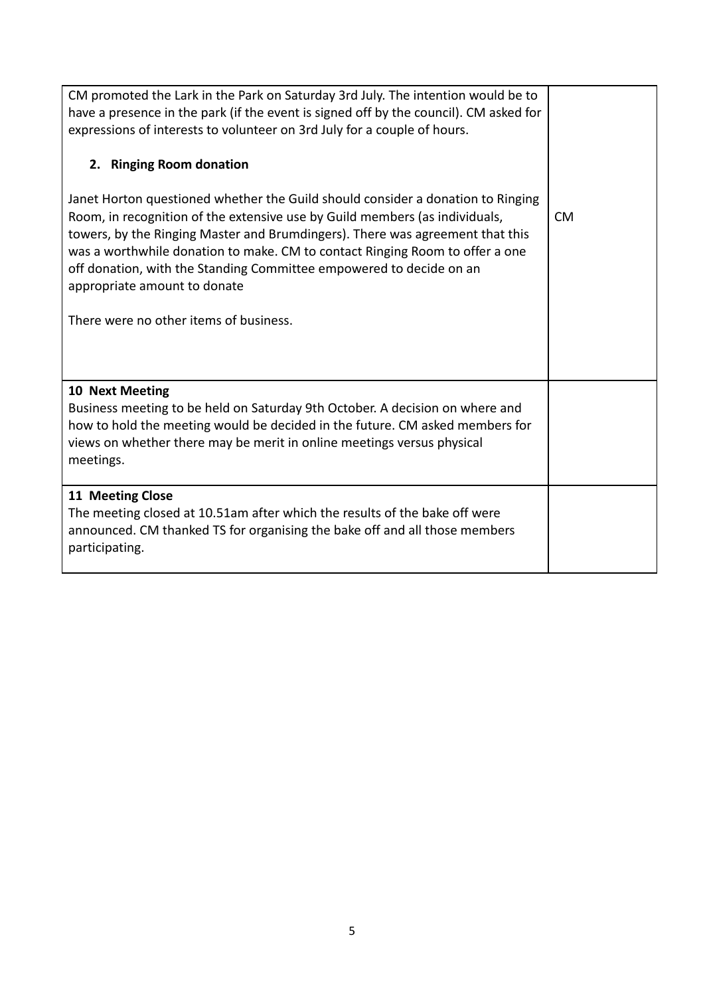| CM promoted the Lark in the Park on Saturday 3rd July. The intention would be to<br>have a presence in the park (if the event is signed off by the council). CM asked for<br>expressions of interests to volunteer on 3rd July for a couple of hours.<br>2. Ringing Room donation<br>Janet Horton questioned whether the Guild should consider a donation to Ringing<br>Room, in recognition of the extensive use by Guild members (as individuals,<br>towers, by the Ringing Master and Brumdingers). There was agreement that this<br>was a worthwhile donation to make. CM to contact Ringing Room to offer a one<br>off donation, with the Standing Committee empowered to decide on an<br>appropriate amount to donate<br>There were no other items of business. | <b>CM</b> |
|-----------------------------------------------------------------------------------------------------------------------------------------------------------------------------------------------------------------------------------------------------------------------------------------------------------------------------------------------------------------------------------------------------------------------------------------------------------------------------------------------------------------------------------------------------------------------------------------------------------------------------------------------------------------------------------------------------------------------------------------------------------------------|-----------|
| 10 Next Meeting<br>Business meeting to be held on Saturday 9th October. A decision on where and<br>how to hold the meeting would be decided in the future. CM asked members for<br>views on whether there may be merit in online meetings versus physical<br>meetings.                                                                                                                                                                                                                                                                                                                                                                                                                                                                                                |           |
| 11 Meeting Close<br>The meeting closed at 10.51am after which the results of the bake off were<br>announced. CM thanked TS for organising the bake off and all those members<br>participating.                                                                                                                                                                                                                                                                                                                                                                                                                                                                                                                                                                        |           |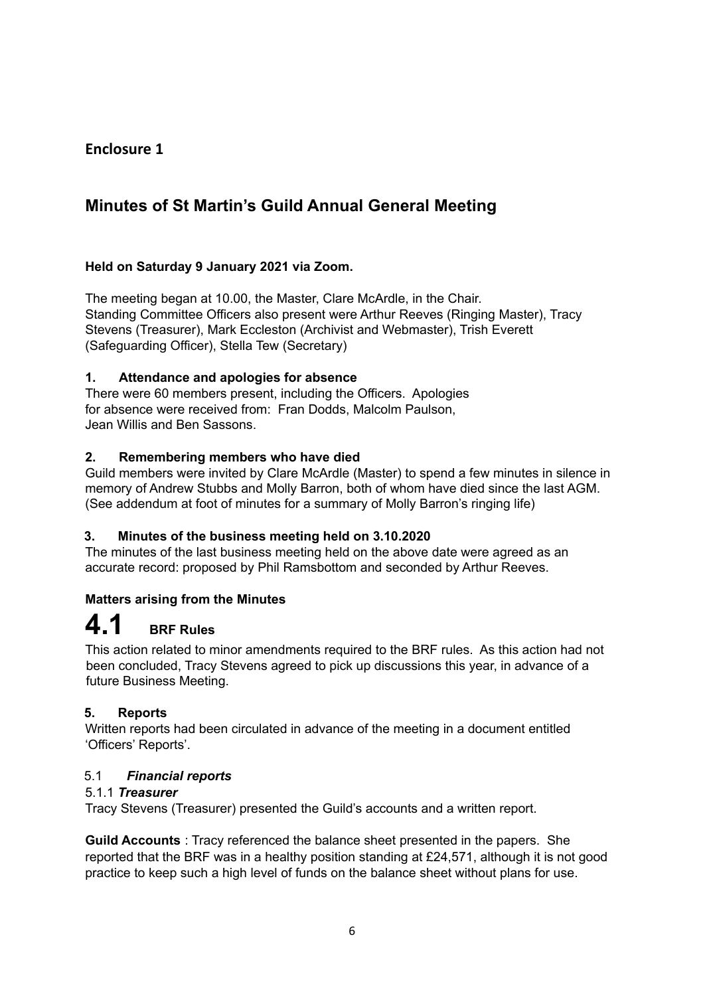# **Enclosure 1**

# **Minutes of St Martin's Guild Annual General Meeting**

## **Held on Saturday 9 January 2021 via Zoom.**

The meeting began at 10.00, the Master, Clare McArdle, in the Chair. Standing Committee Officers also present were Arthur Reeves (Ringing Master), Tracy Stevens (Treasurer), Mark Eccleston (Archivist and Webmaster), Trish Everett (Safeguarding Officer), Stella Tew (Secretary)

#### **1. Attendance and apologies for absence**

There were 60 members present, including the Officers. Apologies for absence were received from: Fran Dodds, Malcolm Paulson, Jean Willis and Ben Sassons.

#### **2. Remembering members who have died**

Guild members were invited by Clare McArdle (Master) to spend a few minutes in silence in memory of Andrew Stubbs and Molly Barron, both of whom have died since the last AGM. (See addendum at foot of minutes for a summary of Molly Barron's ringing life)

## **3. Minutes of the business meeting held on 3.10.2020**

The minutes of the last business meeting held on the above date were agreed as an accurate record: proposed by Phil Ramsbottom and seconded by Arthur Reeves.

## **Matters arising from the Minutes**

# **4.1 BRF Rules**

This action related to minor amendments required to the BRF rules. As this action had not been concluded, Tracy Stevens agreed to pick up discussions this year, in advance of a future Business Meeting.

## **5. Reports**

Written reports had been circulated in advance of the meeting in a document entitled 'Officers' Reports'.

#### 5.1 *Financial reports*

## 5.1.1 *Treasurer*

Tracy Stevens (Treasurer) presented the Guild's accounts and a written report.

**Guild Accounts** : Tracy referenced the balance sheet presented in the papers. She reported that the BRF was in a healthy position standing at £24,571, although it is not good practice to keep such a high level of funds on the balance sheet without plans for use.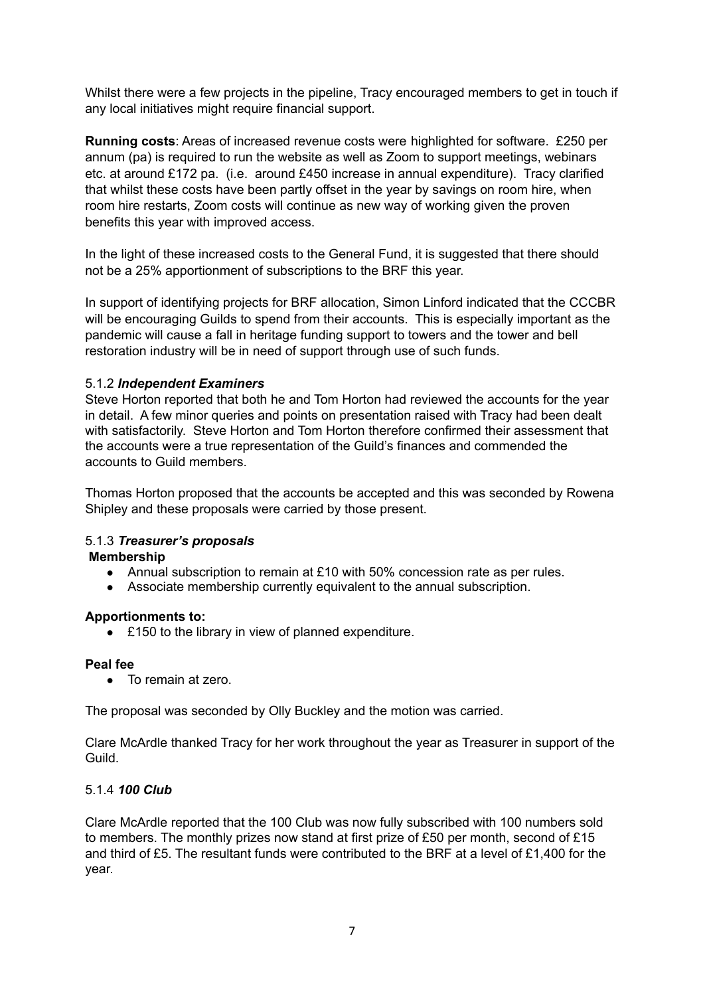Whilst there were a few projects in the pipeline, Tracy encouraged members to get in touch if any local initiatives might require financial support.

**Running costs**: Areas of increased revenue costs were highlighted for software. £250 per annum (pa) is required to run the website as well as Zoom to support meetings, webinars etc. at around £172 pa. (i.e. around £450 increase in annual expenditure). Tracy clarified that whilst these costs have been partly offset in the year by savings on room hire, when room hire restarts, Zoom costs will continue as new way of working given the proven benefits this year with improved access.

In the light of these increased costs to the General Fund, it is suggested that there should not be a 25% apportionment of subscriptions to the BRF this year.

In support of identifying projects for BRF allocation, Simon Linford indicated that the CCCBR will be encouraging Guilds to spend from their accounts. This is especially important as the pandemic will cause a fall in heritage funding support to towers and the tower and bell restoration industry will be in need of support through use of such funds.

#### 5.1.2 *Independent Examiners*

Steve Horton reported that both he and Tom Horton had reviewed the accounts for the year in detail. A few minor queries and points on presentation raised with Tracy had been dealt with satisfactorily. Steve Horton and Tom Horton therefore confirmed their assessment that the accounts were a true representation of the Guild's finances and commended the accounts to Guild members.

Thomas Horton proposed that the accounts be accepted and this was seconded by Rowena Shipley and these proposals were carried by those present.

## 5.1.3 *Treasurer's proposals*

#### **Membership**

- Annual subscription to remain at £10 with 50% concession rate as per rules.
- Associate membership currently equivalent to the annual subscription.

#### **Apportionments to:**

**●** £150 to the library in view of planned expenditure.

#### **Peal fee**

**●** To remain at zero.

The proposal was seconded by Olly Buckley and the motion was carried.

Clare McArdle thanked Tracy for her work throughout the year as Treasurer in support of the Guild.

#### 5.1.4 *100 Club*

Clare McArdle reported that the 100 Club was now fully subscribed with 100 numbers sold to members. The monthly prizes now stand at first prize of £50 per month, second of £15 and third of £5. The resultant funds were contributed to the BRF at a level of £1,400 for the year.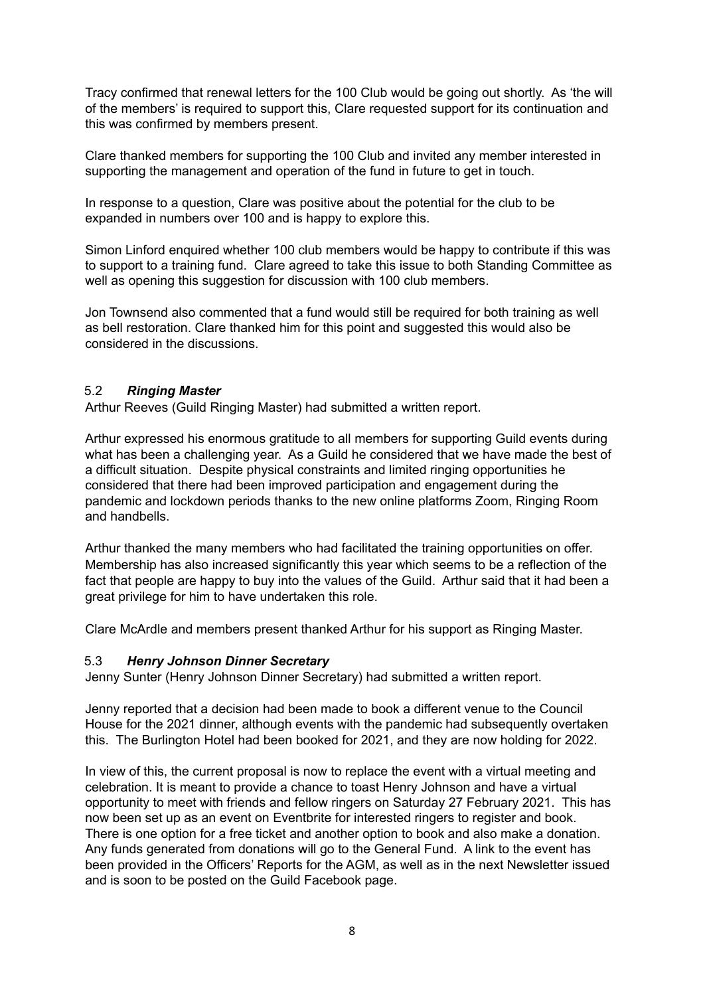Tracy confirmed that renewal letters for the 100 Club would be going out shortly. As 'the will of the members' is required to support this, Clare requested support for its continuation and this was confirmed by members present.

Clare thanked members for supporting the 100 Club and invited any member interested in supporting the management and operation of the fund in future to get in touch.

In response to a question, Clare was positive about the potential for the club to be expanded in numbers over 100 and is happy to explore this.

Simon Linford enquired whether 100 club members would be happy to contribute if this was to support to a training fund. Clare agreed to take this issue to both Standing Committee as well as opening this suggestion for discussion with 100 club members.

Jon Townsend also commented that a fund would still be required for both training as well as bell restoration. Clare thanked him for this point and suggested this would also be considered in the discussions.

#### 5.2 *Ringing Master*

Arthur Reeves (Guild Ringing Master) had submitted a written report.

Arthur expressed his enormous gratitude to all members for supporting Guild events during what has been a challenging year. As a Guild he considered that we have made the best of a difficult situation. Despite physical constraints and limited ringing opportunities he considered that there had been improved participation and engagement during the pandemic and lockdown periods thanks to the new online platforms Zoom, Ringing Room and handbells.

Arthur thanked the many members who had facilitated the training opportunities on offer. Membership has also increased significantly this year which seems to be a reflection of the fact that people are happy to buy into the values of the Guild. Arthur said that it had been a great privilege for him to have undertaken this role.

Clare McArdle and members present thanked Arthur for his support as Ringing Master.

#### 5.3 *Henry Johnson Dinner Secretary*

Jenny Sunter (Henry Johnson Dinner Secretary) had submitted a written report.

Jenny reported that a decision had been made to book a different venue to the Council House for the 2021 dinner, although events with the pandemic had subsequently overtaken this. The Burlington Hotel had been booked for 2021, and they are now holding for 2022.

In view of this, the current proposal is now to replace the event with a virtual meeting and celebration. It is meant to provide a chance to toast Henry Johnson and have a virtual opportunity to meet with friends and fellow ringers on Saturday 27 February 2021. This has now been set up as an event on Eventbrite for interested ringers to register and book. There is one option for a free ticket and another option to book and also make a donation. Any funds generated from donations will go to the General Fund. A link to the event has been provided in the Officers' Reports for the AGM, as well as in the next Newsletter issued and is soon to be posted on the Guild Facebook page.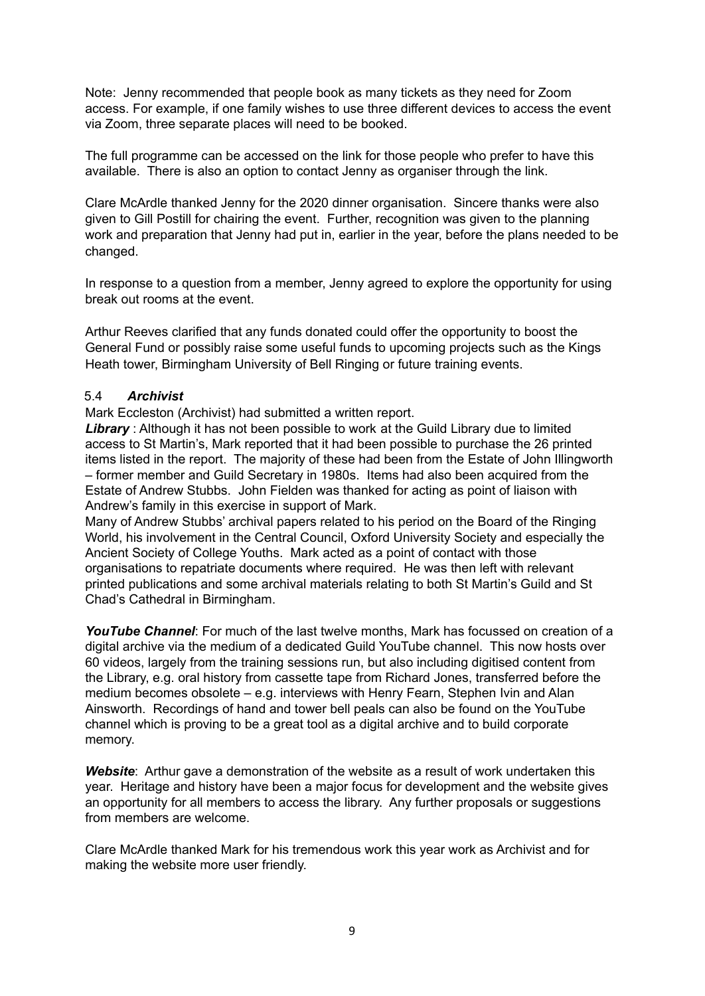Note: Jenny recommended that people book as many tickets as they need for Zoom access. For example, if one family wishes to use three different devices to access the event via Zoom, three separate places will need to be booked.

The full programme can be accessed on the link for those people who prefer to have this available. There is also an option to contact Jenny as organiser through the link.

Clare McArdle thanked Jenny for the 2020 dinner organisation. Sincere thanks were also given to Gill Postill for chairing the event. Further, recognition was given to the planning work and preparation that Jenny had put in, earlier in the year, before the plans needed to be changed.

In response to a question from a member, Jenny agreed to explore the opportunity for using break out rooms at the event.

Arthur Reeves clarified that any funds donated could offer the opportunity to boost the General Fund or possibly raise some useful funds to upcoming projects such as the Kings Heath tower, Birmingham University of Bell Ringing or future training events.

#### 5.4 *Archivist*

Mark Eccleston (Archivist) had submitted a written report.

*Library* : Although it has not been possible to work at the Guild Library due to limited access to St Martin's, Mark reported that it had been possible to purchase the 26 printed items listed in the report. The majority of these had been from the Estate of John Illingworth – former member and Guild Secretary in 1980s. Items had also been acquired from the Estate of Andrew Stubbs. John Fielden was thanked for acting as point of liaison with Andrew's family in this exercise in support of Mark.

Many of Andrew Stubbs' archival papers related to his period on the Board of the Ringing World, his involvement in the Central Council, Oxford University Society and especially the Ancient Society of College Youths. Mark acted as a point of contact with those organisations to repatriate documents where required. He was then left with relevant printed publications and some archival materials relating to both St Martin's Guild and St Chad's Cathedral in Birmingham.

*YouTube Channel*: For much of the last twelve months, Mark has focussed on creation of a digital archive via the medium of a dedicated Guild YouTube channel. This now hosts over 60 videos, largely from the training sessions run, but also including digitised content from the Library, e.g. oral history from cassette tape from Richard Jones, transferred before the medium becomes obsolete – e.g. interviews with Henry Fearn, Stephen Ivin and Alan Ainsworth. Recordings of hand and tower bell peals can also be found on the YouTube channel which is proving to be a great tool as a digital archive and to build corporate memory.

*Website*: Arthur gave a demonstration of the website as a result of work undertaken this year. Heritage and history have been a major focus for development and the website gives an opportunity for all members to access the library. Any further proposals or suggestions from members are welcome.

Clare McArdle thanked Mark for his tremendous work this year work as Archivist and for making the website more user friendly.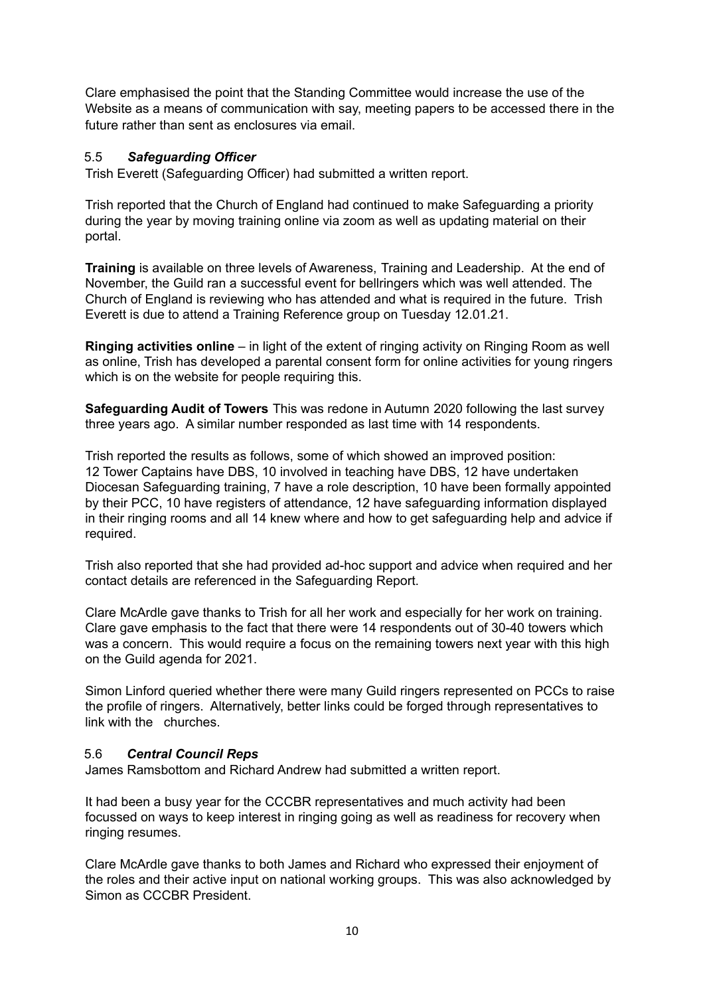Clare emphasised the point that the Standing Committee would increase the use of the Website as a means of communication with say, meeting papers to be accessed there in the future rather than sent as enclosures via email.

## 5.5 *Safeguarding Officer*

Trish Everett (Safeguarding Officer) had submitted a written report.

Trish reported that the Church of England had continued to make Safeguarding a priority during the year by moving training online via zoom as well as updating material on their portal.

**Training** is available on three levels of Awareness, Training and Leadership. At the end of November, the Guild ran a successful event for bellringers which was well attended. The Church of England is reviewing who has attended and what is required in the future. Trish Everett is due to attend a Training Reference group on Tuesday 12.01.21.

**Ringing activities online** – in light of the extent of ringing activity on Ringing Room as well as online, Trish has developed a parental consent form for online activities for young ringers which is on the website for people requiring this.

**Safeguarding Audit of Towers** This was redone in Autumn 2020 following the last survey three years ago. A similar number responded as last time with 14 respondents.

Trish reported the results as follows, some of which showed an improved position: 12 Tower Captains have DBS, 10 involved in teaching have DBS, 12 have undertaken Diocesan Safeguarding training, 7 have a role description, 10 have been formally appointed by their PCC, 10 have registers of attendance, 12 have safeguarding information displayed in their ringing rooms and all 14 knew where and how to get safeguarding help and advice if required.

Trish also reported that she had provided ad-hoc support and advice when required and her contact details are referenced in the Safeguarding Report.

Clare McArdle gave thanks to Trish for all her work and especially for her work on training. Clare gave emphasis to the fact that there were 14 respondents out of 30-40 towers which was a concern. This would require a focus on the remaining towers next year with this high on the Guild agenda for 2021.

Simon Linford queried whether there were many Guild ringers represented on PCCs to raise the profile of ringers. Alternatively, better links could be forged through representatives to link with the churches.

#### 5.6 *Central Council Reps*

James Ramsbottom and Richard Andrew had submitted a written report.

It had been a busy year for the CCCBR representatives and much activity had been focussed on ways to keep interest in ringing going as well as readiness for recovery when ringing resumes.

Clare McArdle gave thanks to both James and Richard who expressed their enjoyment of the roles and their active input on national working groups. This was also acknowledged by Simon as CCCBR President.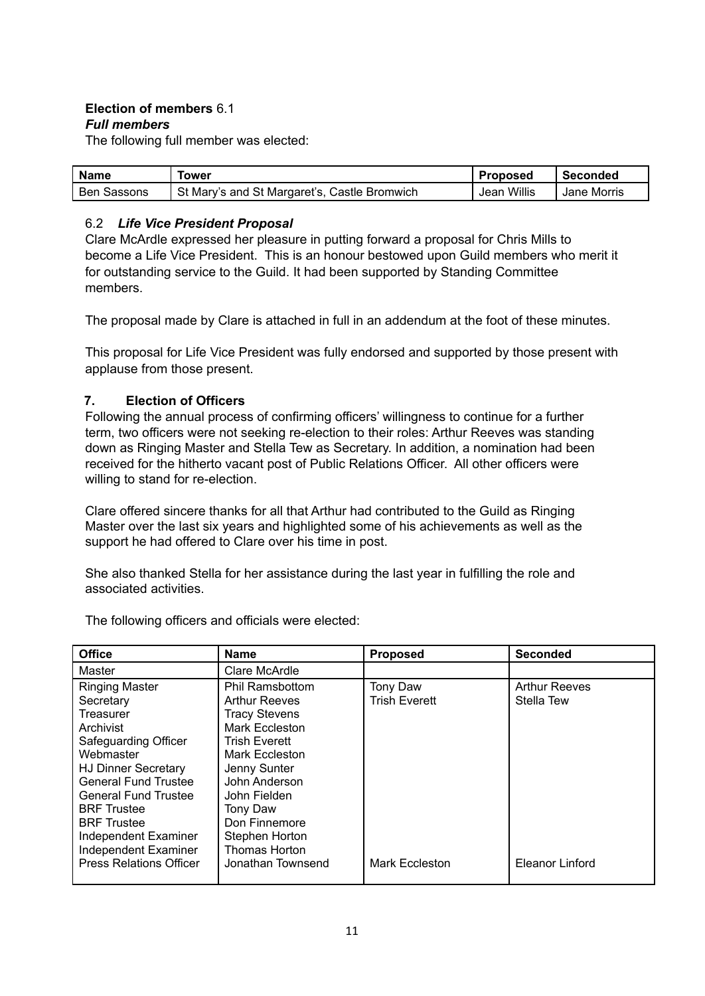#### **Election of members** 6.1 *Full members*

The following full member was elected:

| <b>Name</b> | Tower                                        | <b>Proposed</b> | l Seconded    |
|-------------|----------------------------------------------|-----------------|---------------|
| Ben Sassons | St Mary's and St Margaret's, Castle Bromwich | Jean Willis     | l Jane Morris |

## 6.2 *Life Vice President Proposal*

Clare McArdle expressed her pleasure in putting forward a proposal for Chris Mills to become a Life Vice President. This is an honour bestowed upon Guild members who merit it for outstanding service to the Guild. It had been supported by Standing Committee members.

The proposal made by Clare is attached in full in an addendum at the foot of these minutes.

This proposal for Life Vice President was fully endorsed and supported by those present with applause from those present.

## **7. Election of Officers**

Following the annual process of confirming officers' willingness to continue for a further term, two officers were not seeking re-election to their roles: Arthur Reeves was standing down as Ringing Master and Stella Tew as Secretary. In addition, a nomination had been received for the hitherto vacant post of Public Relations Officer. All other officers were willing to stand for re-election.

Clare offered sincere thanks for all that Arthur had contributed to the Guild as Ringing Master over the last six years and highlighted some of his achievements as well as the support he had offered to Clare over his time in post.

She also thanked Stella for her assistance during the last year in fulfilling the role and associated activities.

| <b>Office</b>                                                                                                                                                                                 | <b>Name</b>                                                                                                                                                                         | <b>Proposed</b>                  | <b>Seconded</b>                    |
|-----------------------------------------------------------------------------------------------------------------------------------------------------------------------------------------------|-------------------------------------------------------------------------------------------------------------------------------------------------------------------------------------|----------------------------------|------------------------------------|
| <b>Master</b>                                                                                                                                                                                 | Clare McArdle                                                                                                                                                                       |                                  |                                    |
| <b>Ringing Master</b><br>Secretary<br>Treasurer<br>Archivist<br>Safeguarding Officer<br>Webmaster<br><b>HJ Dinner Secretary</b><br><b>General Fund Trustee</b><br><b>General Fund Trustee</b> | <b>Phil Ramsbottom</b><br><b>Arthur Reeves</b><br><b>Tracy Stevens</b><br>Mark Eccleston<br><b>Trish Everett</b><br>Mark Eccleston<br>Jenny Sunter<br>John Anderson<br>John Fielden | Tony Daw<br><b>Trish Everett</b> | <b>Arthur Reeves</b><br>Stella Tew |
| <b>BRF</b> Trustee<br><b>BRF</b> Trustee<br>Independent Examiner<br>Independent Examiner<br><b>Press Relations Officer</b>                                                                    | Tony Daw<br>Don Finnemore<br>Stephen Horton<br>Thomas Horton<br>Jonathan Townsend                                                                                                   | Mark Eccleston                   | Eleanor Linford                    |

The following officers and officials were elected: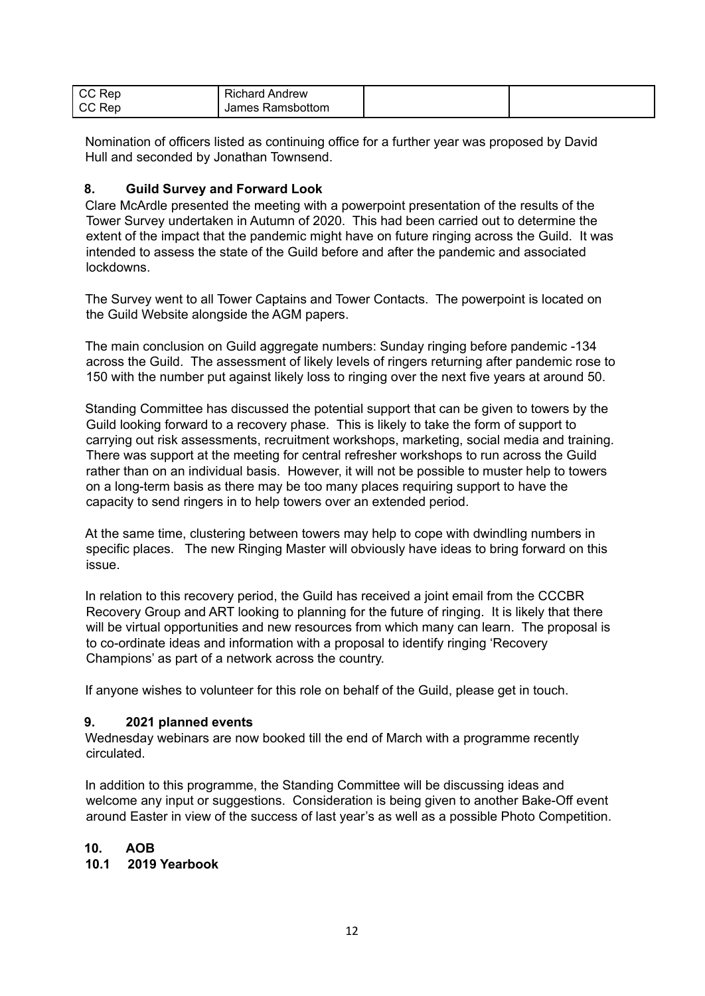| CC Rep | <b>Richard Andrew</b> |  |
|--------|-----------------------|--|
| CC Rep | James Ramsbottom      |  |

Nomination of officers listed as continuing office for a further year was proposed by David Hull and seconded by Jonathan Townsend.

### **8. Guild Survey and Forward Look**

Clare McArdle presented the meeting with a powerpoint presentation of the results of the Tower Survey undertaken in Autumn of 2020. This had been carried out to determine the extent of the impact that the pandemic might have on future ringing across the Guild. It was intended to assess the state of the Guild before and after the pandemic and associated lockdowns.

The Survey went to all Tower Captains and Tower Contacts. The powerpoint is located on the Guild Website alongside the AGM papers.

The main conclusion on Guild aggregate numbers: Sunday ringing before pandemic -134 across the Guild. The assessment of likely levels of ringers returning after pandemic rose to 150 with the number put against likely loss to ringing over the next five years at around 50.

Standing Committee has discussed the potential support that can be given to towers by the Guild looking forward to a recovery phase. This is likely to take the form of support to carrying out risk assessments, recruitment workshops, marketing, social media and training. There was support at the meeting for central refresher workshops to run across the Guild rather than on an individual basis. However, it will not be possible to muster help to towers on a long-term basis as there may be too many places requiring support to have the capacity to send ringers in to help towers over an extended period.

At the same time, clustering between towers may help to cope with dwindling numbers in specific places. The new Ringing Master will obviously have ideas to bring forward on this issue.

In relation to this recovery period, the Guild has received a joint email from the CCCBR Recovery Group and ART looking to planning for the future of ringing. It is likely that there will be virtual opportunities and new resources from which many can learn. The proposal is to co-ordinate ideas and information with a proposal to identify ringing 'Recovery Champions' as part of a network across the country.

If anyone wishes to volunteer for this role on behalf of the Guild, please get in touch.

#### **9. 2021 planned events**

Wednesday webinars are now booked till the end of March with a programme recently circulated.

In addition to this programme, the Standing Committee will be discussing ideas and welcome any input or suggestions. Consideration is being given to another Bake-Off event around Easter in view of the success of last year's as well as a possible Photo Competition.

#### **10. AOB**

### **10.1 2019 Yearbook**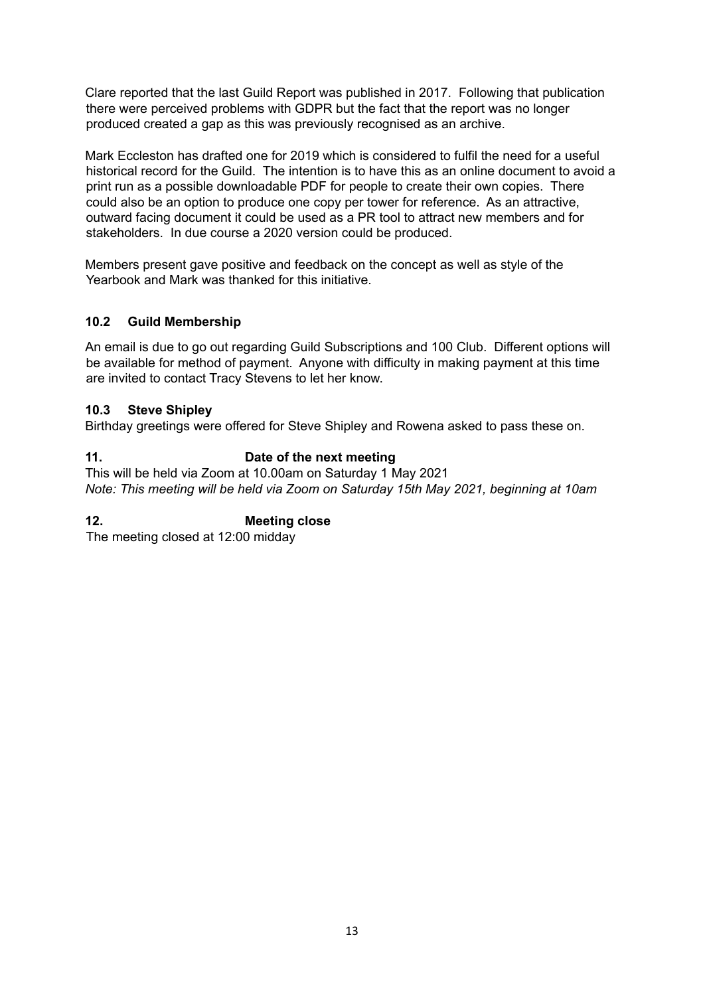Clare reported that the last Guild Report was published in 2017. Following that publication there were perceived problems with GDPR but the fact that the report was no longer produced created a gap as this was previously recognised as an archive.

Mark Eccleston has drafted one for 2019 which is considered to fulfil the need for a useful historical record for the Guild. The intention is to have this as an online document to avoid a print run as a possible downloadable PDF for people to create their own copies. There could also be an option to produce one copy per tower for reference. As an attractive, outward facing document it could be used as a PR tool to attract new members and for stakeholders. In due course a 2020 version could be produced.

Members present gave positive and feedback on the concept as well as style of the Yearbook and Mark was thanked for this initiative.

## **10.2 Guild Membership**

An email is due to go out regarding Guild Subscriptions and 100 Club. Different options will be available for method of payment. Anyone with difficulty in making payment at this time are invited to contact Tracy Stevens to let her know.

#### **10.3 Steve Shipley**

Birthday greetings were offered for Steve Shipley and Rowena asked to pass these on.

## **11. Date of the next meeting**

This will be held via Zoom at 10.00am on Saturday 1 May 2021 *Note: This meeting will be held via Zoom on Saturday 15th May 2021, beginning at 10am*

## **12. Meeting close**

The meeting closed at 12:00 midday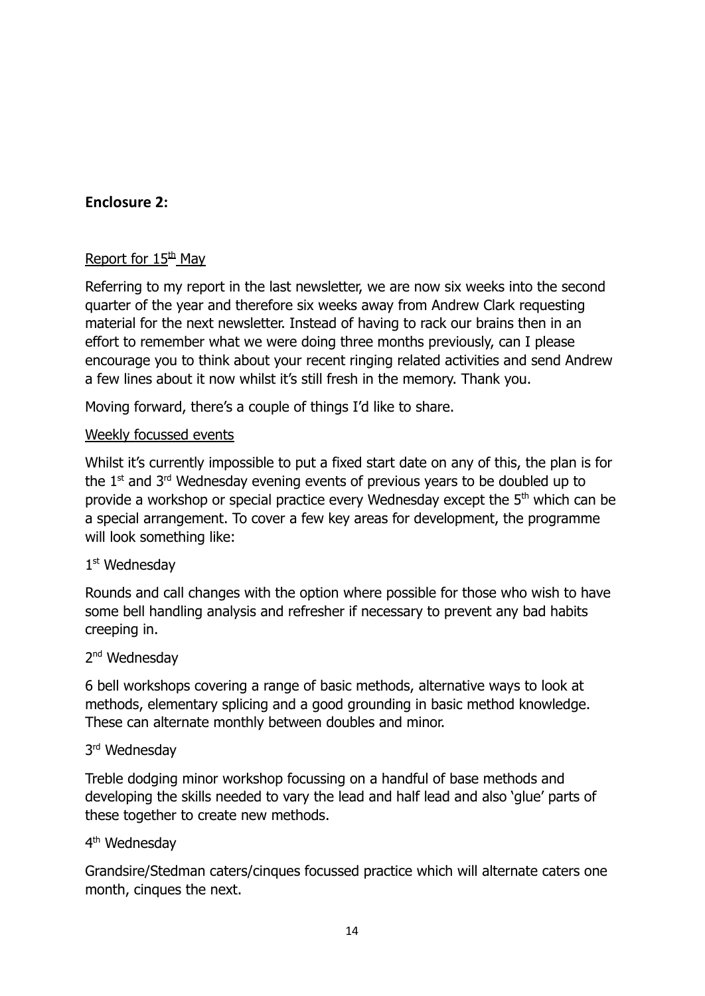# **Enclosure 2:**

# Report for  $15<sup>th</sup>$  Mav

Referring to my report in the last newsletter, we are now six weeks into the second quarter of the year and therefore six weeks away from Andrew Clark requesting material for the next newsletter. Instead of having to rack our brains then in an effort to remember what we were doing three months previously, can I please encourage you to think about your recent ringing related activities and send Andrew a few lines about it now whilst it's still fresh in the memory. Thank you.

Moving forward, there's a couple of things I'd like to share.

# Weekly focussed events

Whilst it's currently impossible to put a fixed start date on any of this, the plan is for the  $1<sup>st</sup>$  and  $3<sup>rd</sup>$  Wednesday evening events of previous years to be doubled up to provide a workshop or special practice every Wednesday except the 5<sup>th</sup> which can be a special arrangement. To cover a few key areas for development, the programme will look something like:

# 1 st Wednesday

Rounds and call changes with the option where possible for those who wish to have some bell handling analysis and refresher if necessary to prevent any bad habits creeping in.

# 2<sup>nd</sup> Wednesday

6 bell workshops covering a range of basic methods, alternative ways to look at methods, elementary splicing and a good grounding in basic method knowledge. These can alternate monthly between doubles and minor.

# 3<sup>rd</sup> Wednesday

Treble dodging minor workshop focussing on a handful of base methods and developing the skills needed to vary the lead and half lead and also 'glue' parts of these together to create new methods.

# 4<sup>th</sup> Wednesday

Grandsire/Stedman caters/cinques focussed practice which will alternate caters one month, cinques the next.